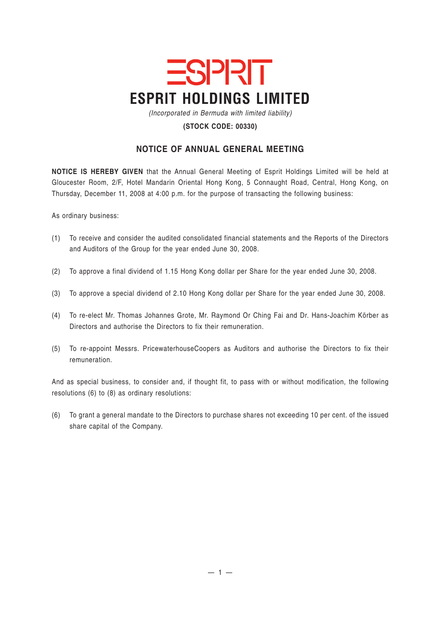## **ESPRIT ESPRIT HOLDINGS LIMITED**

*(Incorporated in Bermuda with limited liability)*

## **(STOCK CODE: 00330)**

## **NOTICE OF ANNUAL GENERAL MEETING**

**NOTICE IS HEREBY GIVEN** that the Annual General Meeting of Esprit Holdings Limited will be held at Gloucester Room, 2/F, Hotel Mandarin Oriental Hong Kong, 5 Connaught Road, Central, Hong Kong, on Thursday, December 11, 2008 at 4:00 p.m. for the purpose of transacting the following business:

As ordinary business:

- (1) To receive and consider the audited consolidated financial statements and the Reports of the Directors and Auditors of the Group for the year ended June 30, 2008.
- (2) To approve a final dividend of 1.15 Hong Kong dollar per Share for the year ended June 30, 2008.
- (3) To approve a special dividend of 2.10 Hong Kong dollar per Share for the year ended June 30, 2008.
- (4) To re-elect Mr. Thomas Johannes Grote, Mr. Raymond Or Ching Fai and Dr. Hans-Joachim Körber as Directors and authorise the Directors to fix their remuneration.
- (5) To re-appoint Messrs. PricewaterhouseCoopers as Auditors and authorise the Directors to fix their remuneration.

And as special business, to consider and, if thought fit, to pass with or without modification, the following resolutions (6) to (8) as ordinary resolutions:

(6) To grant a general mandate to the Directors to purchase shares not exceeding 10 per cent. of the issued share capital of the Company.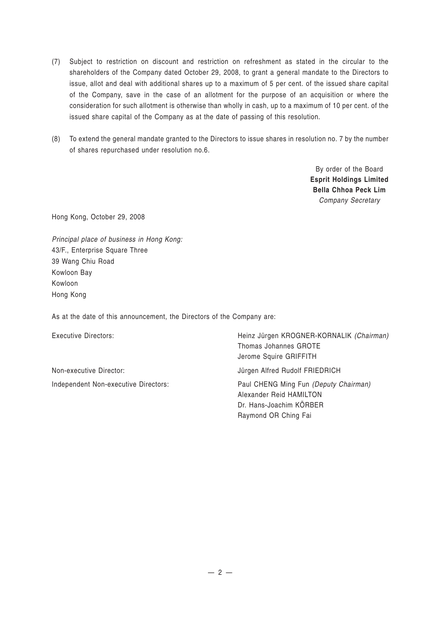- (7) Subject to restriction on discount and restriction on refreshment as stated in the circular to the shareholders of the Company dated October 29, 2008, to grant a general mandate to the Directors to issue, allot and deal with additional shares up to a maximum of 5 per cent. of the issued share capital of the Company, save in the case of an allotment for the purpose of an acquisition or where the consideration for such allotment is otherwise than wholly in cash, up to a maximum of 10 per cent. of the issued share capital of the Company as at the date of passing of this resolution.
- (8) To extend the general mandate granted to the Directors to issue shares in resolution no. 7 by the number of shares repurchased under resolution no.6.

By order of the Board **Esprit Holdings Limited Bella Chhoa Peck Lim** *Company Secretary*

Hong Kong, October 29, 2008

*Principal place of business in Hong Kong:* 43/F., Enterprise Square Three 39 Wang Chiu Road Kowloon Bay Kowloon Hong Kong

As at the date of this announcement, the Directors of the Company are:

Non-executive Director:  $Jürgen$  Alfred Rudolf FRIEDRICH

Executive Directors: **Heinz Jürgen KROGNER-KORNALIK** *(Chairman)* Thomas Johannes GROTE Jerome Squire GRIFFITH

Independent Non-executive Directors: Paul CHENG Ming Fun *(Deputy Chairman)* Alexander Reid HAMILTON Dr. Hans-Joachim KÖRBER Raymond OR Ching Fai